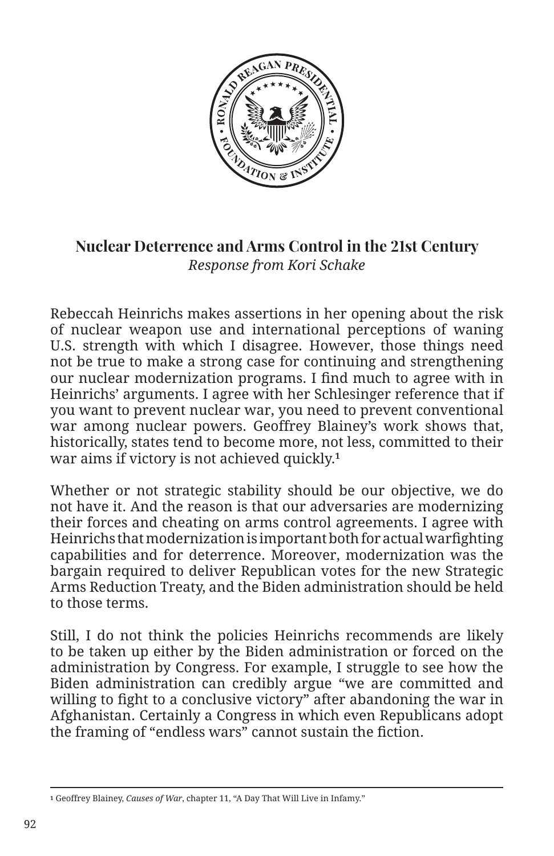

## **Nuclear Deterrence and Arms Control in the 21st Century** *Response from Kori Schake*

Rebeccah Heinrichs makes assertions in her opening about the risk of nuclear weapon use and international perceptions of waning U.S. strength with which I disagree. However, those things need not be true to make a strong case for continuing and strengthening our nuclear modernization programs. I find much to agree with in Heinrichs' arguments. I agree with her Schlesinger reference that if you want to prevent nuclear war, you need to prevent conventional war among nuclear powers. Geoffrey Blainey's work shows that, historically, states tend to become more, not less, committed to their war aims if victory is not achieved quickly.**<sup>1</sup>**

Whether or not strategic stability should be our objective, we do not have it. And the reason is that our adversaries are modernizing their forces and cheating on arms control agreements. I agree with Heinrichs that modernization is important both for actual warfighting capabilities and for deterrence. Moreover, modernization was the bargain required to deliver Republican votes for the new Strategic Arms Reduction Treaty, and the Biden administration should be held to those terms.

Still, I do not think the policies Heinrichs recommends are likely to be taken up either by the Biden administration or forced on the administration by Congress. For example, I struggle to see how the Biden administration can credibly argue "we are committed and willing to fight to a conclusive victory" after abandoning the war in Afghanistan. Certainly a Congress in which even Republicans adopt the framing of "endless wars" cannot sustain the fiction.

**<sup>1</sup>** Geoffrey Blainey, *Causes of War*, chapter 11, "A Day That Will Live in Infamy."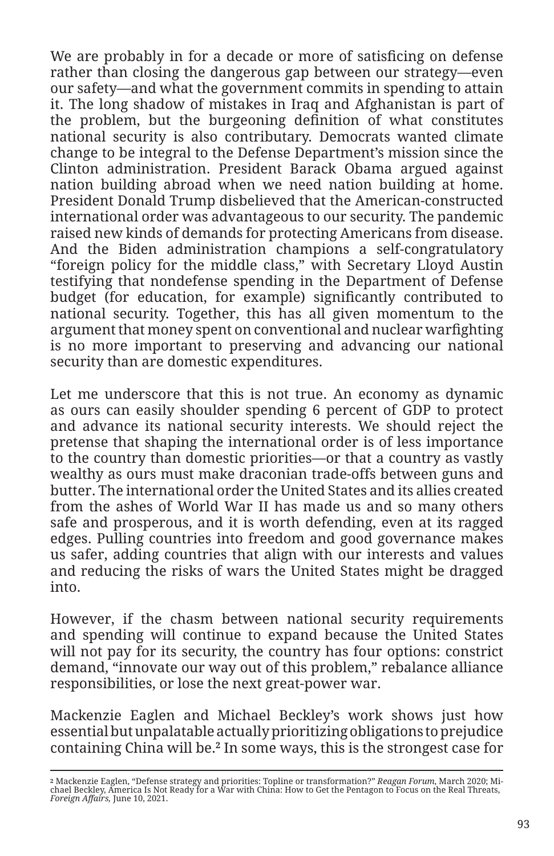We are probably in for a decade or more of satisficing on defense rather than closing the dangerous gap between our strategy—even our safety—and what the government commits in spending to attain it. The long shadow of mistakes in Iraq and Afghanistan is part of the problem, but the burgeoning definition of what constitutes national security is also contributary. Democrats wanted climate change to be integral to the Defense Department's mission since the Clinton administration. President Barack Obama argued against nation building abroad when we need nation building at home. President Donald Trump disbelieved that the American-constructed international order was advantageous to our security. The pandemic raised new kinds of demands for protecting Americans from disease. And the Biden administration champions a self-congratulatory "foreign policy for the middle class," with Secretary Lloyd Austin testifying that nondefense spending in the Department of Defense budget (for education, for example) significantly contributed to national security. Together, this has all given momentum to the argument that money spent on conventional and nuclear warfighting is no more important to preserving and advancing our national security than are domestic expenditures.

Let me underscore that this is not true. An economy as dynamic as ours can easily shoulder spending 6 percent of GDP to protect and advance its national security interests. We should reject the pretense that shaping the international order is of less importance to the country than domestic priorities—or that a country as vastly wealthy as ours must make draconian trade-offs between guns and butter. The international order the United States and its allies created from the ashes of World War II has made us and so many others safe and prosperous, and it is worth defending, even at its ragged edges. Pulling countries into freedom and good governance makes us safer, adding countries that align with our interests and values and reducing the risks of wars the United States might be dragged into.

However, if the chasm between national security requirements and spending will continue to expand because the United States will not pay for its security, the country has four options: constrict demand, "innovate our way out of this problem," rebalance alliance responsibilities, or lose the next great-power war.

Mackenzie Eaglen and Michael Beckley's work shows just how essential but unpalatable actually prioritizing obligations to prejudice containing China will be.**2** In some ways, this is the strongest case for

<sup>&</sup>lt;sup>2</sup> Mackenzie Eaglen, "Defense strategy and priorities: Topline or transformation?" *Reagan Forum,* March 2020; Mi-<br>chael Beckley, America Is Not Ready for a War with China: How to Get the Pentagon to Focus on the Real Thr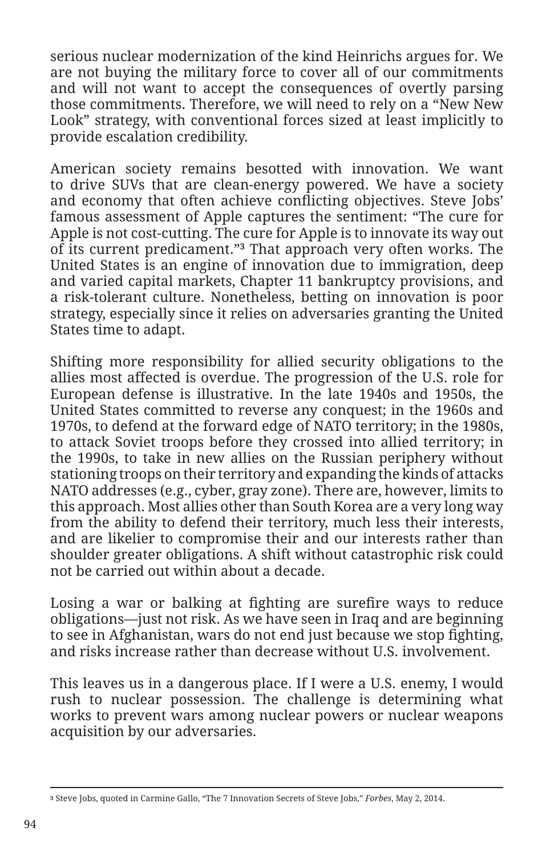serious nuclear modernization of the kind Heinrichs argues for. We are not buying the military force to cover all of our commitments and will not want to accept the consequences of overtly parsing those commitments. Therefore, we will need to rely on a "New New Look" strategy, with conventional forces sized at least implicitly to provide escalation credibility.

American society remains besotted with innovation. We want to drive SUVs that are clean-energy powered. We have a society and economy that often achieve conflicting objectives. Steve Jobs' famous assessment of Apple captures the sentiment: "The cure for Apple is not cost-cutting. The cure for Apple is to innovate its way out of its current predicament."**3** That approach very often works. The United States is an engine of innovation due to immigration, deep and varied capital markets, Chapter 11 bankruptcy provisions, and a risk-tolerant culture. Nonetheless, betting on innovation is poor strategy, especially since it relies on adversaries granting the United States time to adapt.

Shifting more responsibility for allied security obligations to the allies most affected is overdue. The progression of the U.S. role for European defense is illustrative. In the late 1940s and 1950s, the United States committed to reverse any conquest; in the 1960s and 1970s, to defend at the forward edge of NATO territory; in the 1980s, to attack Soviet troops before they crossed into allied territory; in the 1990s, to take in new allies on the Russian periphery without stationing troops on their territory and expanding the kinds of attacks NATO addresses (e.g., cyber, gray zone). There are, however, limits to this approach. Most allies other than South Korea are a very long way from the ability to defend their territory, much less their interests, and are likelier to compromise their and our interests rather than shoulder greater obligations. A shift without catastrophic risk could not be carried out within about a decade.

Losing a war or balking at fighting are surefire ways to reduce obligations—just not risk. As we have seen in Iraq and are beginning to see in Afghanistan, wars do not end just because we stop fighting, and risks increase rather than decrease without U.S. involvement.

This leaves us in a dangerous place. If I were a U.S. enemy, I would rush to nuclear possession. The challenge is determining what works to prevent wars among nuclear powers or nuclear weapons acquisition by our adversaries.

**<sup>3</sup>** Steve Jobs, quoted in Carmine Gallo, "The 7 Innovation Secrets of Steve Jobs," *Forbes*, May 2, 2014.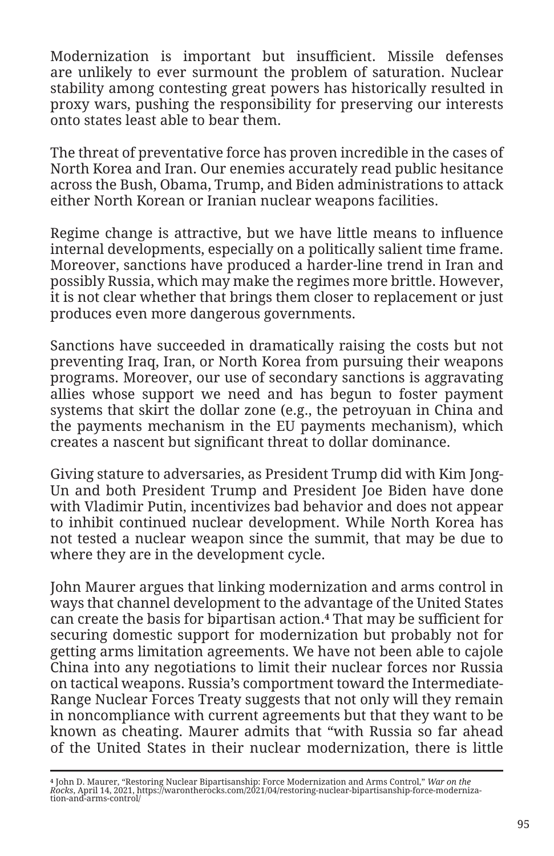Modernization is important but insufficient. Missile defenses are unlikely to ever surmount the problem of saturation. Nuclear stability among contesting great powers has historically resulted in proxy wars, pushing the responsibility for preserving our interests onto states least able to bear them.

The threat of preventative force has proven incredible in the cases of North Korea and Iran. Our enemies accurately read public hesitance across the Bush, Obama, Trump, and Biden administrations to attack either North Korean or Iranian nuclear weapons facilities.

Regime change is attractive, but we have little means to influence internal developments, especially on a politically salient time frame. Moreover, sanctions have produced a harder-line trend in Iran and possibly Russia, which may make the regimes more brittle. However, it is not clear whether that brings them closer to replacement or just produces even more dangerous governments.

Sanctions have succeeded in dramatically raising the costs but not preventing Iraq, Iran, or North Korea from pursuing their weapons programs. Moreover, our use of secondary sanctions is aggravating allies whose support we need and has begun to foster payment systems that skirt the dollar zone (e.g., the petroyuan in China and the payments mechanism in the EU payments mechanism), which creates a nascent but significant threat to dollar dominance.

Giving stature to adversaries, as President Trump did with Kim Jong-Un and both President Trump and President Joe Biden have done with Vladimir Putin, incentivizes bad behavior and does not appear to inhibit continued nuclear development. While North Korea has not tested a nuclear weapon since the summit, that may be due to where they are in the development cycle.

John Maurer argues that linking modernization and arms control in ways that channel development to the advantage of the United States can create the basis for bipartisan action.**4** That may be sufficient for securing domestic support for modernization but probably not for getting arms limitation agreements. We have not been able to cajole China into any negotiations to limit their nuclear forces nor Russia on tactical weapons. Russia's comportment toward the Intermediate-Range Nuclear Forces Treaty suggests that not only will they remain in noncompliance with current agreements but that they want to be known as cheating. Maurer admits that "with Russia so far ahead of the United States in their nuclear modernization, there is little

<sup>4</sup> John D. Maurer, "Restoring Nuclear Bipartisanship: Force Modernization and Arms Control," *War on the*<br>*Rocks*, April 14, 2021, https://warontherocks.com/2021/04/restoring-nuclear-bipartisanship-force-moderniza-<br>tion-and